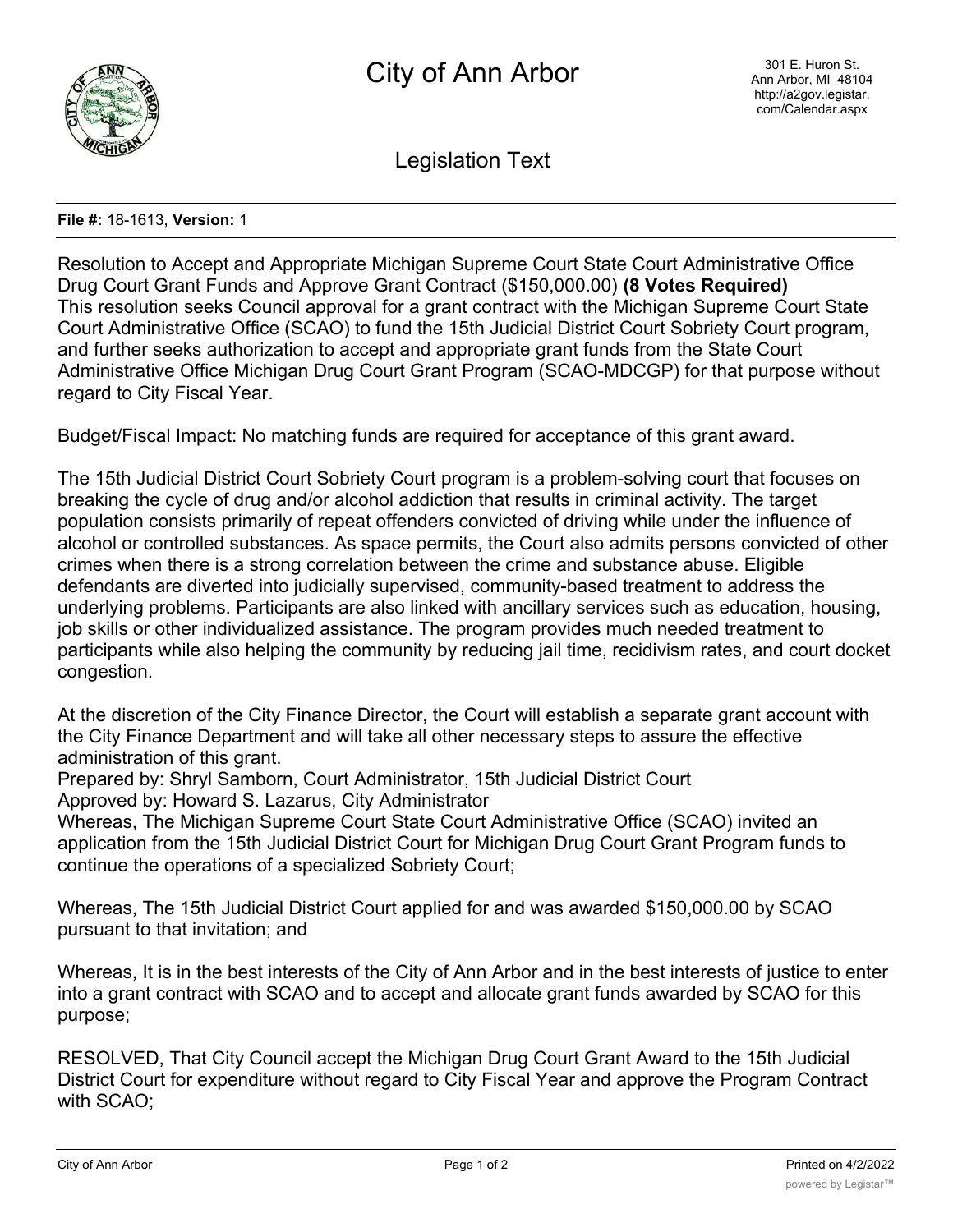

Legislation Text

## **File #:** 18-1613, **Version:** 1

Resolution to Accept and Appropriate Michigan Supreme Court State Court Administrative Office Drug Court Grant Funds and Approve Grant Contract (\$150,000.00) **(8 Votes Required)** This resolution seeks Council approval for a grant contract with the Michigan Supreme Court State Court Administrative Office (SCAO) to fund the 15th Judicial District Court Sobriety Court program, and further seeks authorization to accept and appropriate grant funds from the State Court Administrative Office Michigan Drug Court Grant Program (SCAO-MDCGP) for that purpose without regard to City Fiscal Year.

Budget/Fiscal Impact: No matching funds are required for acceptance of this grant award.

The 15th Judicial District Court Sobriety Court program is a problem-solving court that focuses on breaking the cycle of drug and/or alcohol addiction that results in criminal activity. The target population consists primarily of repeat offenders convicted of driving while under the influence of alcohol or controlled substances. As space permits, the Court also admits persons convicted of other crimes when there is a strong correlation between the crime and substance abuse. Eligible defendants are diverted into judicially supervised, community-based treatment to address the underlying problems. Participants are also linked with ancillary services such as education, housing, job skills or other individualized assistance. The program provides much needed treatment to participants while also helping the community by reducing jail time, recidivism rates, and court docket congestion.

At the discretion of the City Finance Director, the Court will establish a separate grant account with the City Finance Department and will take all other necessary steps to assure the effective administration of this grant.

Prepared by: Shryl Samborn, Court Administrator, 15th Judicial District Court Approved by: Howard S. Lazarus, City Administrator

Whereas, The Michigan Supreme Court State Court Administrative Office (SCAO) invited an application from the 15th Judicial District Court for Michigan Drug Court Grant Program funds to continue the operations of a specialized Sobriety Court;

Whereas, The 15th Judicial District Court applied for and was awarded \$150,000.00 by SCAO pursuant to that invitation; and

Whereas, It is in the best interests of the City of Ann Arbor and in the best interests of justice to enter into a grant contract with SCAO and to accept and allocate grant funds awarded by SCAO for this purpose;

RESOLVED, That City Council accept the Michigan Drug Court Grant Award to the 15th Judicial District Court for expenditure without regard to City Fiscal Year and approve the Program Contract with SCAO;